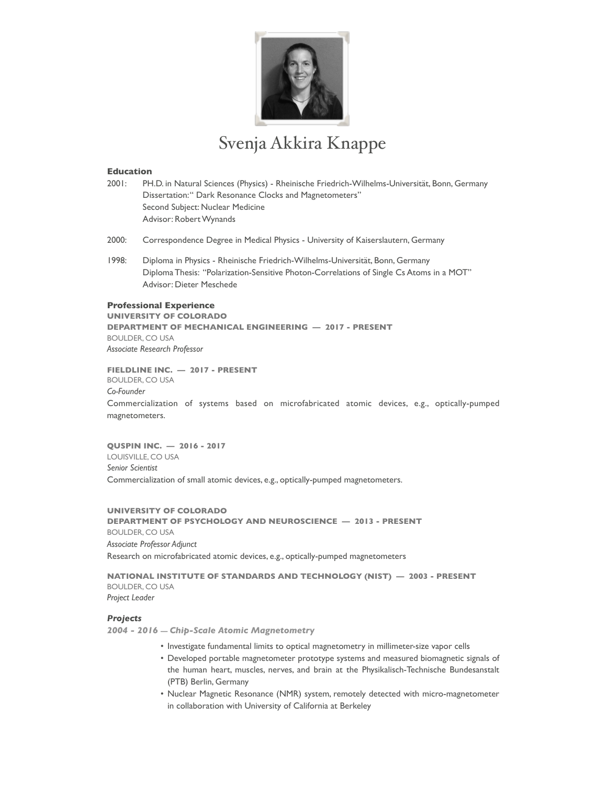

# Svenja Akkira Knappe

## **Education**

- 2001: PH.D. in Natural Sciences (Physics) Rheinische Friedrich-Wilhelms-Universität, Bonn, Germany Dissertation: " Dark Resonance Clocks and Magnetometers" Second Subject: Nuclear Medicine Advisor: Robert Wynands
- 2000: Correspondence Degree in Medical Physics University of Kaiserslautern, Germany
- 1998: Diploma in Physics Rheinische Friedrich-Wilhelms-Universität, Bonn, Germany Diploma Thesis: "Polarization-Sensitive Photon-Correlations of Single Cs Atoms in a MOT" Advisor: Dieter Meschede

## **Professional Experience**

**UNIVERSITY OF COLORADO DEPARTMENT OF MECHANICAL ENGINEERING — 2017 - PRESENT** BOULDER, CO USA *Associate Research Professor* 

**FIELDLINE INC. — 2017 - PRESENT** BOULDER, CO USA *Co-Founder* Commercialization of systems based on microfabricated atomic devices, e.g., optically-pumped magnetometers.

**QUSPIN INC. — 2016 - 2017** LOUISVILLE, CO USA *Senior Scientist* Commercialization of small atomic devices, e.g., optically-pumped magnetometers.

**UNIVERSITY OF COLORADO DEPARTMENT OF PSYCHOLOGY AND NEUROSCIENCE — 2013 - PRESENT** BOULDER, CO USA *Associate Professor Adjunct* Research on microfabricated atomic devices, e.g., optically-pumped magnetometers

**NATIONAL INSTITUTE OF STANDARDS AND TECHNOLOGY (NIST) — 2003 - PRESENT** BOULDER, CO USA *Project Leader*

#### *Projects*

*2004 - 2016 — Chip-Scale Atomic Magnetometry* 

- Investigate fundamental limits to optical magnetometry in millimeter-size vapor cells
- Developed portable magnetometer prototype systems and measured biomagnetic signals of the human heart, muscles, nerves, and brain at the Physikalisch-Technische Bundesanstalt (PTB) Berlin, Germany
- Nuclear Magnetic Resonance (NMR) system, remotely detected with micro-magnetometer in collaboration with University of California at Berkeley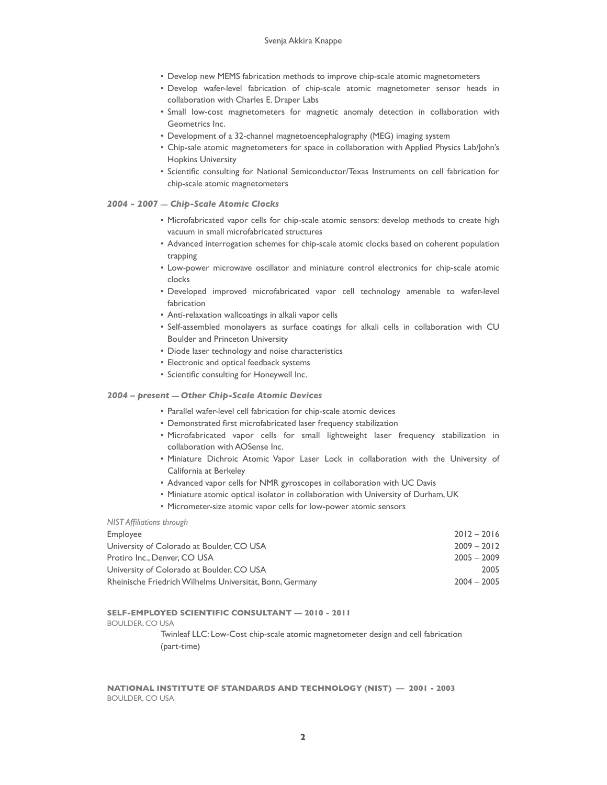- Develop new MEMS fabrication methods to improve chip-scale atomic magnetometers
- Develop wafer-level fabrication of chip-scale atomic magnetometer sensor heads in collaboration with Charles E. Draper Labs
- Small low-cost magnetometers for magnetic anomaly detection in collaboration with Geometrics Inc.
- Development of a 32-channel magnetoencephalography (MEG) imaging system
- Chip-sale atomic magnetometers for space in collaboration with Applied Physics Lab/John's Hopkins University
- Scientific consulting for National Semiconductor/Texas Instruments on cell fabrication for chip-scale atomic magnetometers
- *2004 2007 Chip-Scale Atomic Clocks*
	- Microfabricated vapor cells for chip-scale atomic sensors: develop methods to create high vacuum in small microfabricated structures
	- Advanced interrogation schemes for chip-scale atomic clocks based on coherent population trapping
	- Low-power microwave oscillator and miniature control electronics for chip-scale atomic clocks
	- Developed improved microfabricated vapor cell technology amenable to wafer-level fabrication
	- Anti-relaxation wallcoatings in alkali vapor cells
	- Self-assembled monolayers as surface coatings for alkali cells in collaboration with CU Boulder and Princeton University
	- Diode laser technology and noise characteristics
	- Electronic and optical feedback systems
	- Scientific consulting for Honeywell Inc.

## *2004 – present — Other Chip-Scale Atomic Devices*

- Parallel wafer-level cell fabrication for chip-scale atomic devices
- Demonstrated first microfabricated laser frequency stabilization
- Microfabricated vapor cells for small lightweight laser frequency stabilization in collaboration with AOSense Inc.
- Miniature Dichroic Atomic Vapor Laser Lock in collaboration with the University of California at Berkeley
- Advanced vapor cells for NMR gyroscopes in collaboration with UC Davis
- Miniature atomic optical isolator in collaboration with University of Durham, UK
- Micrometer-size atomic vapor cells for low-power atomic sensors

## *NIST Affiliations through*

| Employee                                                 | $2012 - 2016$ |
|----------------------------------------------------------|---------------|
| University of Colorado at Boulder, CO USA                | $2009 - 2012$ |
| Protiro Inc., Denver, CO USA                             | $2005 - 2009$ |
| University of Colorado at Boulder, CO USA                | 2005          |
| Rheinische Friedrich Wilhelms Universität, Bonn, Germany | $2004 - 2005$ |

## **SELF-EMPLOYED SCIENTIFIC CONSULTANT** *—* **2010 - 2011**

BOULDER, CO USA

Twinleaf LLC: Low-Cost chip-scale atomic magnetometer design and cell fabrication (part-time)

**NATIONAL INSTITUTE OF STANDARDS AND TECHNOLOGY (NIST) — 2001 - 2003** BOULDER, CO USA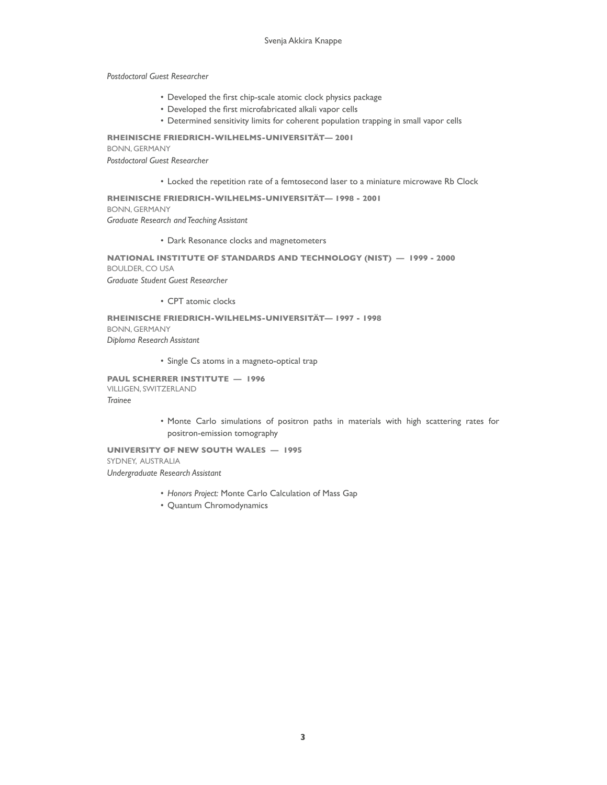*Postdoctoral Guest Researcher*

- Developed the first chip-scale atomic clock physics package
- Developed the first microfabricated alkali vapor cells
- Determined sensitivity limits for coherent population trapping in small vapor cells

**RHEINISCHE FRIEDRICH-WILHELMS-UNIVERSITÄT***—* **2001** BONN, GERMANY *Postdoctoral Guest Researcher*

• Locked the repetition rate of a femtosecond laser to a miniature microwave Rb Clock

**RHEINISCHE FRIEDRICH-WILHELMS-UNIVERSITÄT***—* **1998 - 2001** BONN, GERMANY *Graduate Research and Teaching Assistant*

• Dark Resonance clocks and magnetometers

## **NATIONAL INSTITUTE OF STANDARDS AND TECHNOLOGY (NIST) — 1999 - 2000** BOULDER, CO USA *Graduate Student Guest Researcher*

• CPT atomic clocks

**RHEINISCHE FRIEDRICH-WILHELMS-UNIVERSITÄT***—* **1997 - 1998** BONN, GERMANY *Diploma Research Assistant*

• Single Cs atoms in a magneto-optical trap

**PAUL SCHERRER INSTITUTE — 1996** VILLIGEN, SWITZERLAND *Trainee*

> • Monte Carlo simulations of positron paths in materials with high scattering rates for positron-emission tomography

**UNIVERSITY OF NEW SOUTH WALES — 1995** SYDNEY, AUSTRALIA *Undergraduate Research Assistant*

- *Honors Project:* Monte Carlo Calculation of Mass Gap
- Quantum Chromodynamics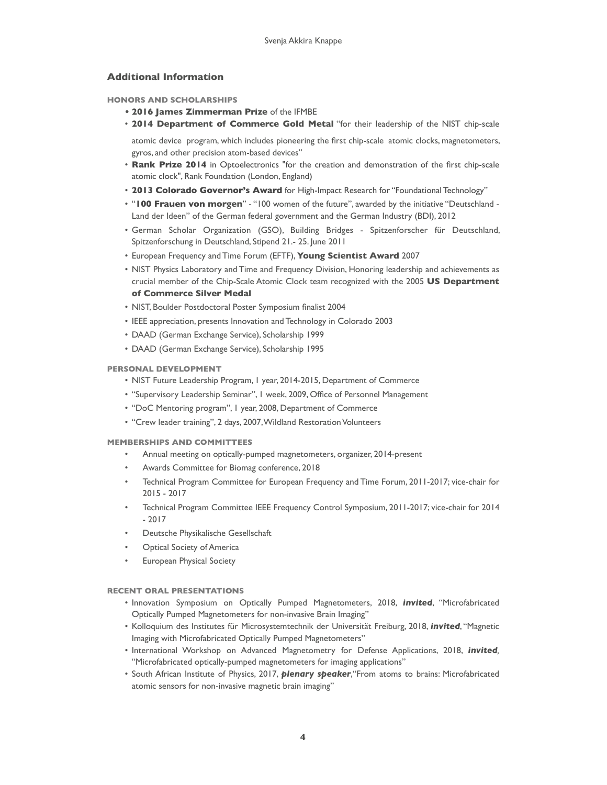## **Additional Information**

## **HONORS AND SCHOLARSHIPS**

- **• 2016 James Zimmerman Prize** of the IFMBE
- **2014 Department of Commerce Gold Metal** "for their leadership of the NIST chip-scale

atomic device program, which includes pioneering the first chip-scale atomic clocks, magnetometers, gyros, and other precision atom-based devices"

- **Rank Prize 2014** in Optoelectronics "for the creation and demonstration of the first chip-scale atomic clock", Rank Foundation (London, England)
- **2013 Colorado Governor's Award** for High-Impact Research for "Foundational Technology"
- "**100 Frauen von morgen**" "100 women of the future", awarded by the initiative "Deutschland Land der Ideen" of the German federal government and the German Industry (BDI), 2012
- German Scholar Organization (GSO), Building Bridges Spitzenforscher für Deutschland, Spitzenforschung in Deutschland, Stipend 21.- 25. June 2011
- European Frequency and Time Forum (EFTF), **Young Scientist Award** 2007
- NIST Physics Laboratory and Time and Frequency Division, Honoring leadership and achievements as crucial member of the Chip-Scale Atomic Clock team recognized with the 2005 **US Department of Commerce Silver Medal**
- NIST, Boulder Postdoctoral Poster Symposium finalist 2004
- IEEE appreciation, presents Innovation and Technology in Colorado 2003
- DAAD (German Exchange Service), Scholarship 1999
- DAAD (German Exchange Service), Scholarship 1995

## **PERSONAL DEVELOPMENT**

- NIST Future Leadership Program, 1 year, 2014-2015, Department of Commerce
- "Supervisory Leadership Seminar", 1 week, 2009, Office of Personnel Management
- "DoC Mentoring program", 1 year, 2008, Department of Commerce
- "Crew leader training", 2 days, 2007, Wildland Restoration Volunteers

## **MEMBERSHIPS AND COMMITTEES**

- Annual meeting on optically-pumped magnetometers, organizer, 2014-present
- Awards Committee for Biomag conference, 2018
- Technical Program Committee for European Frequency and Time Forum, 2011-2017; vice-chair for 2015 - 2017
- Technical Program Committee IEEE Frequency Control Symposium, 2011-2017; vice-chair for 2014 - 2017
- Deutsche Physikalische Gesellschaft
- **Optical Society of America**
- European Physical Society

## **RECENT ORAL PRESENTATIONS**

- Innovation Symposium on Optically Pumped Magnetometers, 2018, *invited*, "Microfabricated Optically Pumped Magnetometers for non-invasive Brain Imaging"
- Kolloquium des Institutes für Microsystemtechnik der Universität Freiburg, 2018, *invited*, "Magnetic Imaging with Microfabricated Optically Pumped Magnetometers"
- International Workshop on Advanced Magnetometry for Defense Applications, 2018, *invited,* "Microfabricated optically-pumped magnetometers for imaging applications"
- South African Institute of Physics, 2017, *plenary speaker*,"From atoms to brains: Microfabricated atomic sensors for non-invasive magnetic brain imaging"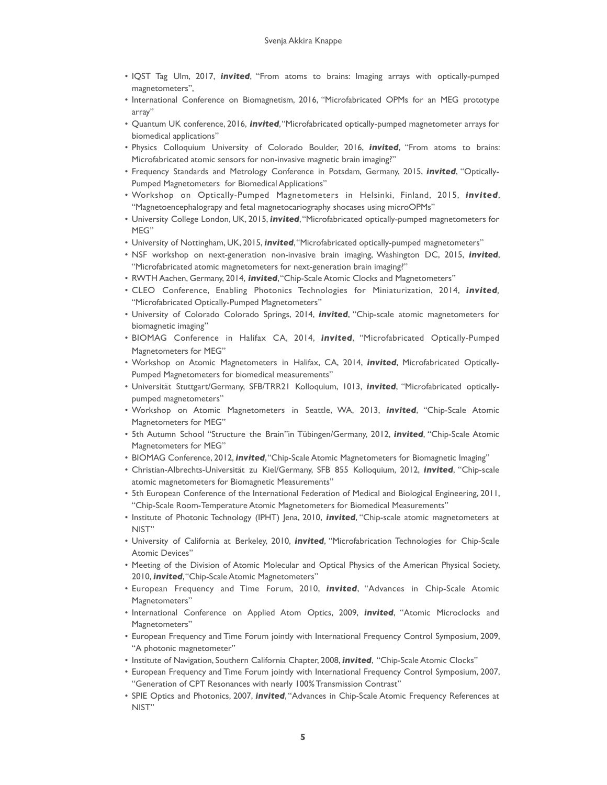- IQST Tag Ulm, 2017, *invited*, "From atoms to brains: Imaging arrays with optically-pumped magnetometers",
- International Conference on Biomagnetism, 2016, "Microfabricated OPMs for an MEG prototype array"
- Quantum UK conference, 2016, *invited*, "Microfabricated optically-pumped magnetometer arrays for biomedical applications"
- Physics Colloquium University of Colorado Boulder, 2016, *invited*, "From atoms to brains: Microfabricated atomic sensors for non-invasive magnetic brain imaging?"
- Frequency Standards and Metrology Conference in Potsdam, Germany, 2015, *invited*, "Optically-Pumped Magnetometers for Biomedical Applications"
- Workshop on Optically-Pumped Magnetometers in Helsinki, Finland, 2015, *invited*, "Magnetoencephalograpy and fetal magnetocariography shocases using microOPMs"
- University College London, UK, 2015, *invited*, "Microfabricated optically-pumped magnetometers for MEG"
- University of Nottingham, UK, 2015, *invited*, "Microfabricated optically-pumped magnetometers"
- NSF workshop on next-generation non-invasive brain imaging, Washington DC, 2015, *invited*, "Microfabricated atomic magnetometers for next-generation brain imaging?"
- RWTH Aachen, Germany, 2014, *invited*, "Chip-Scale Atomic Clocks and Magnetometers"
- CLEO Conference, Enabling Photonics Technologies for Miniaturization, 2014, *invited,* "Microfabricated Optically-Pumped Magnetometers"
- University of Colorado Colorado Springs, 2014, *invited*, "Chip-scale atomic magnetometers for biomagnetic imaging"
- BIOMAG Conference in Halifax CA, 2014, *invited*, "Microfabricated Optically-Pumped Magnetometers for MEG"
- Workshop on Atomic Magnetometers in Halifax, CA, 2014, *invited*, Microfabricated Optically-Pumped Magnetometers for biomedical measurements"
- Universität Stuttgart/Germany, SFB/TRR21 Kolloquium, 1013, *invited*, "Microfabricated opticallypumped magnetometers"
- Workshop on Atomic Magnetometers in Seattle, WA, 2013, *invited*, "Chip-Scale Atomic Magnetometers for MEG"
- 5th Autumn School "Structure the Brain"in Tübingen/Germany, 2012, *invited*, "Chip-Scale Atomic Magnetometers for MEG"
- BIOMAG Conference, 2012, *invited*, "Chip-Scale Atomic Magnetometers for Biomagnetic Imaging"
- Christian-Albrechts-Universität zu Kiel/Germany, SFB 855 Kolloquium, 2012, *invited*, "Chip-scale atomic magnetometers for Biomagnetic Measurements"
- 5th European Conference of the International Federation of Medical and Biological Engineering, 2011, "Chip-Scale Room-Temperature Atomic Magnetometers for Biomedical Measurements"
- Institute of Photonic Technology (IPHT) Jena, 2010, *invited*, "Chip-scale atomic magnetometers at NIST"
- University of California at Berkeley, 2010, *invited*, "Microfabrication Technologies for Chip-Scale Atomic Devices"
- Meeting of the Division of Atomic Molecular and Optical Physics of the American Physical Society, 2010, *invited*, "Chip-Scale Atomic Magnetometers"
- European Frequency and Time Forum, 2010, *invited*, "Advances in Chip-Scale Atomic Magnetometers"
- International Conference on Applied Atom Optics, 2009, *invited*, "Atomic Microclocks and Magnetometers"
- European Frequency and Time Forum jointly with International Frequency Control Symposium, 2009, "A photonic magnetometer"
- Institute of Navigation, Southern California Chapter, 2008, *invited*, "Chip-Scale Atomic Clocks"
- European Frequency and Time Forum jointly with International Frequency Control Symposium, 2007, "Generation of CPT Resonances with nearly 100% Transmission Contrast"
- SPIE Optics and Photonics, 2007, *invited*, "Advances in Chip-Scale Atomic Frequency References at NIST"